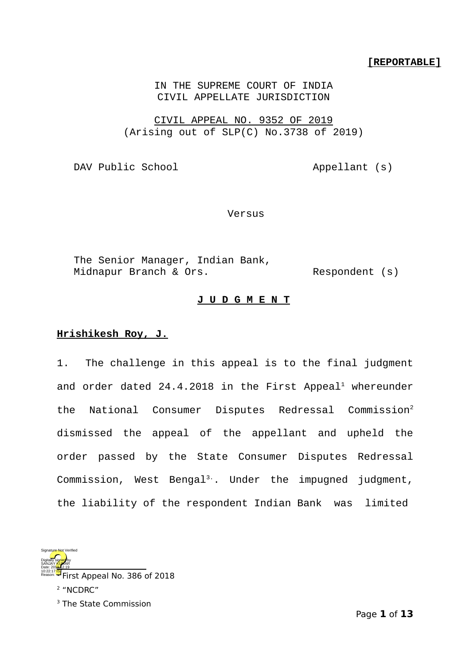## **[REPORTABLE]**

IN THE SUPREME COURT OF INDIA CIVIL APPELLATE JURISDICTION

CIVIL APPEAL NO. 9352 OF 2019 (Arising out of SLP(C) No.3738 of 2019)

DAV Public School Appellant (s)

Versus

The Senior Manager, Indian Bank, Midnapur Branch & Ors. Respondent (s)

## **J U D G M E N T**

## **Hrishikesh Roy, J.**

1. The challenge in this appeal is to the final judgment and order dated  $24.4.2018$  $24.4.2018$  $24.4.2018$  in the First Appeal<sup>1</sup> whereunder the National Consumer Disputes Redressal Commission<sup>[2](#page-0-1)</sup> dismissed the appeal of the appellant and upheld the order passed by the State Consumer Disputes Redressal Commission, West Bengal<sup>3</sup>. Under the impugned judgment, the liability of the respondent Indian Bank was limited



<span id="page-0-0"></span>irst Appeal No. 386 of 2018 2 "NCDRC" Reason:

<span id="page-0-2"></span><span id="page-0-1"></span><sup>3</sup> The State Commission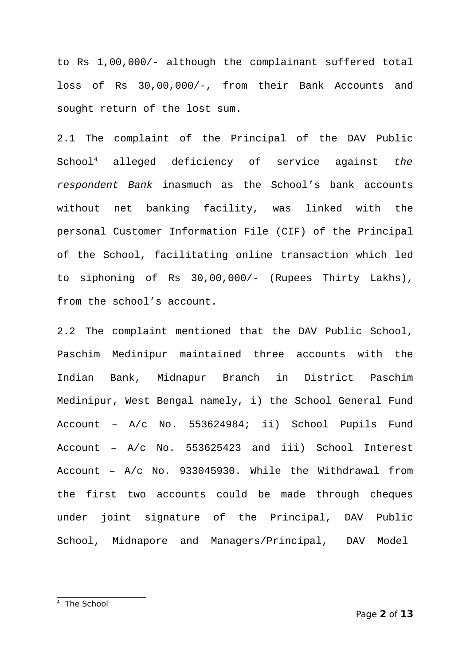to Rs 1,00,000/- although the complainant suffered total loss of Rs 30,00,000/-, from their Bank Accounts and sought return of the lost sum.

2.1 The complaint of the Principal of the DAV Public School[4](#page-1-0) alleged deficiency of service against *the respondent Bank* inasmuch as the School's bank accounts without net banking facility, was linked with the personal Customer Information File (CIF) of the Principal of the School, facilitating online transaction which led to siphoning of Rs 30,00,000/- (Rupees Thirty Lakhs), from the school's account.

<span id="page-1-0"></span>2.2 The complaint mentioned that the DAV Public School, Paschim Medinipur maintained three accounts with the Indian Bank, Midnapur Branch in District Paschim Medinipur, West Bengal namely, i) the School General Fund Account – A/c No. 553624984; ii) School Pupils Fund Account – A/c No. 553625423 and iii) School Interest Account – A/c No. 933045930. While the Withdrawal from the first two accounts could be made through cheques under joint signature of the Principal, DAV Public School, Midnapore and Managers/Principal, DAV Model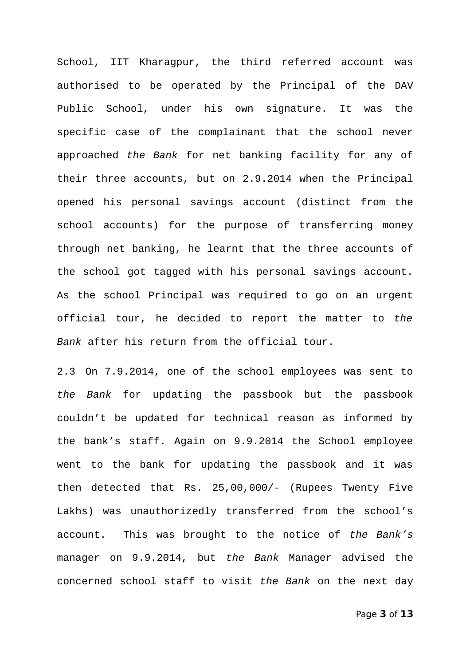School, IIT Kharagpur, the third referred account was authorised to be operated by the Principal of the DAV Public School, under his own signature. It was the specific case of the complainant that the school never approached *the Bank* for net banking facility for any of their three accounts, but on 2.9.2014 when the Principal opened his personal savings account (distinct from the school accounts) for the purpose of transferring money through net banking, he learnt that the three accounts of the school got tagged with his personal savings account. As the school Principal was required to go on an urgent official tour, he decided to report the matter to *the Bank* after his return from the official tour.

2.3 On 7.9.2014, one of the school employees was sent to *the Bank* for updating the passbook but the passbook couldn't be updated for technical reason as informed by the bank's staff. Again on 9.9.2014 the School employee went to the bank for updating the passbook and it was then detected that Rs. 25,00,000/- (Rupees Twenty Five Lakhs) was unauthorizedly transferred from the school's account. This was brought to the notice of *the Bank's* manager on 9.9.2014, but *the Bank* Manager advised the concerned school staff to visit *the Bank* on the next day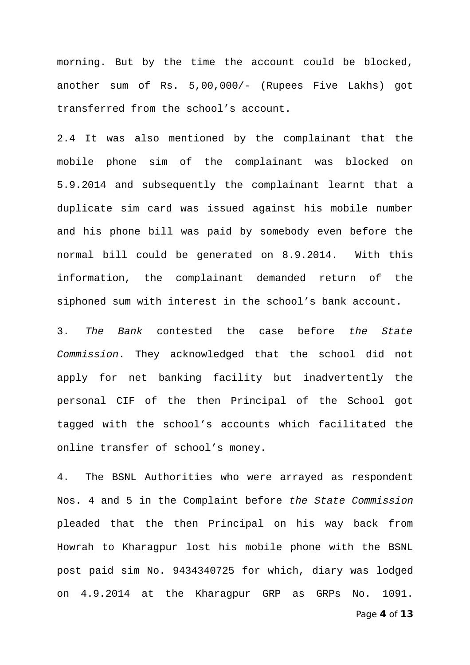morning. But by the time the account could be blocked, another sum of Rs. 5,00,000/- (Rupees Five Lakhs) got transferred from the school's account.

2.4 It was also mentioned by the complainant that the mobile phone sim of the complainant was blocked on 5.9.2014 and subsequently the complainant learnt that a duplicate sim card was issued against his mobile number and his phone bill was paid by somebody even before the normal bill could be generated on 8.9.2014. With this information, the complainant demanded return of the siphoned sum with interest in the school's bank account.

3. *The Bank* contested the case before *the State Commission*. They acknowledged that the school did not apply for net banking facility but inadvertently the personal CIF of the then Principal of the School got tagged with the school's accounts which facilitated the online transfer of school's money.

4. The BSNL Authorities who were arrayed as respondent Nos. 4 and 5 in the Complaint before *the State Commission* pleaded that the then Principal on his way back from Howrah to Kharagpur lost his mobile phone with the BSNL post paid sim No. 9434340725 for which, diary was lodged on 4.9.2014 at the Kharagpur GRP as GRPs No. 1091.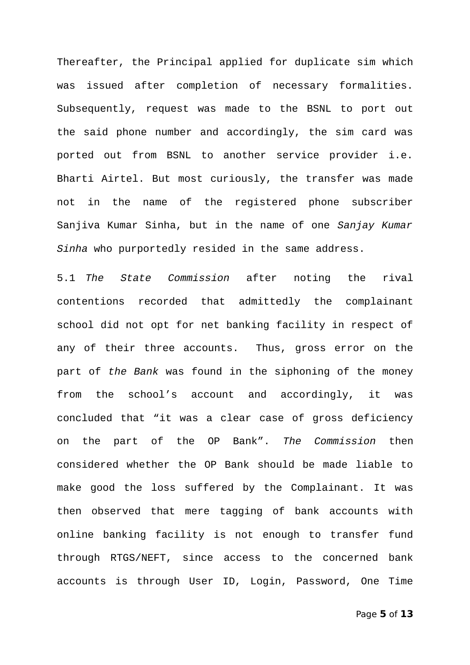Thereafter, the Principal applied for duplicate sim which was issued after completion of necessary formalities. Subsequently, request was made to the BSNL to port out the said phone number and accordingly, the sim card was ported out from BSNL to another service provider i.e. Bharti Airtel. But most curiously, the transfer was made not in the name of the registered phone subscriber Sanjiva Kumar Sinha, but in the name of one *Sanjay Kumar Sinha* who purportedly resided in the same address.

5.1 *The State Commission* after noting the rival contentions recorded that admittedly the complainant school did not opt for net banking facility in respect of any of their three accounts. Thus, gross error on the part of *the Bank* was found in the siphoning of the money from the school's account and accordingly, it was concluded that "it was a clear case of gross deficiency on the part of the OP Bank". *The Commission* then considered whether the OP Bank should be made liable to make good the loss suffered by the Complainant. It was then observed that mere tagging of bank accounts with online banking facility is not enough to transfer fund through RTGS/NEFT, since access to the concerned bank accounts is through User ID, Login, Password, One Time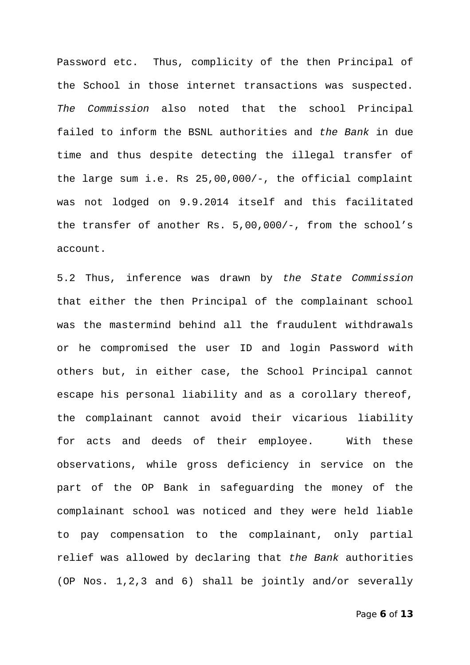Password etc. Thus, complicity of the then Principal of the School in those internet transactions was suspected. *The Commission* also noted that the school Principal failed to inform the BSNL authorities and *the Bank* in due time and thus despite detecting the illegal transfer of the large sum i.e. Rs 25,00,000/-, the official complaint was not lodged on 9.9.2014 itself and this facilitated the transfer of another Rs. 5,00,000/-, from the school's account.

5.2 Thus, inference was drawn by *the State Commission* that either the then Principal of the complainant school was the mastermind behind all the fraudulent withdrawals or he compromised the user ID and login Password with others but, in either case, the School Principal cannot escape his personal liability and as a corollary thereof, the complainant cannot avoid their vicarious liability for acts and deeds of their employee. With these observations, while gross deficiency in service on the part of the OP Bank in safeguarding the money of the complainant school was noticed and they were held liable to pay compensation to the complainant, only partial relief was allowed by declaring that *the Bank* authorities (OP Nos. 1,2,3 and 6) shall be jointly and/or severally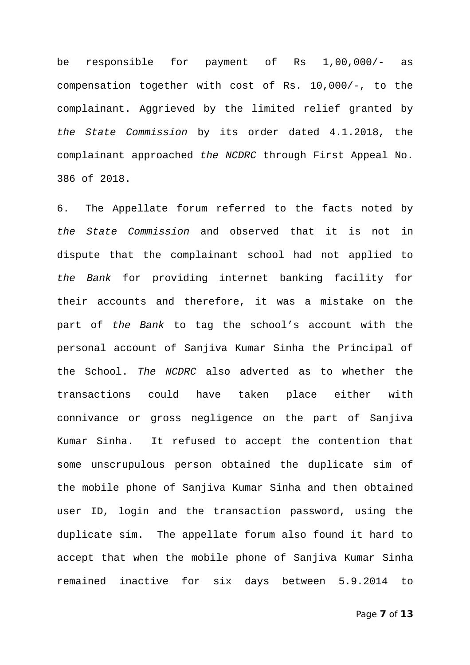be responsible for payment of Rs 1,00,000/- as compensation together with cost of Rs. 10,000/-, to the complainant. Aggrieved by the limited relief granted by *the State Commission* by its order dated 4.1.2018, the complainant approached *the NCDRC* through First Appeal No. 386 of 2018.

6. The Appellate forum referred to the facts noted by *the State Commission* and observed that it is not in dispute that the complainant school had not applied to *the Bank* for providing internet banking facility for their accounts and therefore, it was a mistake on the part of *the Bank* to tag the school's account with the personal account of Sanjiva Kumar Sinha the Principal of the School. *The NCDRC* also adverted as to whether the transactions could have taken place either with connivance or gross negligence on the part of Sanjiva Kumar Sinha. It refused to accept the contention that some unscrupulous person obtained the duplicate sim of the mobile phone of Sanjiva Kumar Sinha and then obtained user ID, login and the transaction password, using the duplicate sim. The appellate forum also found it hard to accept that when the mobile phone of Sanjiva Kumar Sinha remained inactive for six days between 5.9.2014 to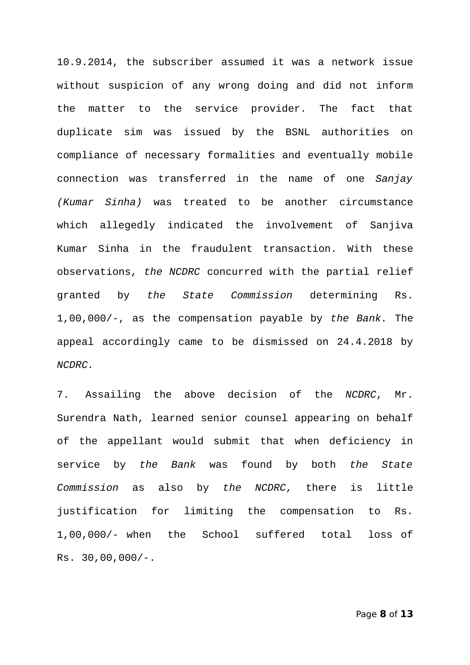10.9.2014, the subscriber assumed it was a network issue without suspicion of any wrong doing and did not inform the matter to the service provider. The fact that duplicate sim was issued by the BSNL authorities on compliance of necessary formalities and eventually mobile connection was transferred in the name of one *Sanjay (Kumar Sinha)* was treated to be another circumstance which allegedly indicated the involvement of Sanjiva Kumar Sinha in the fraudulent transaction. With these observations, *the NCDRC* concurred with the partial relief granted by *the State Commission* determining Rs. 1,00,000/-, as the compensation payable by *the Bank.* The appeal accordingly came to be dismissed on 24.4.2018 by *NCDRC.*

7. Assailing the above decision of the *NCDRC*, Mr. Surendra Nath, learned senior counsel appearing on behalf of the appellant would submit that when deficiency in service by *the Bank* was found by both *the State Commission* as also by *the NCDRC*, there is little justification for limiting the compensation to Rs. 1,00,000/- when the School suffered total loss of Rs. 30,00,000/-.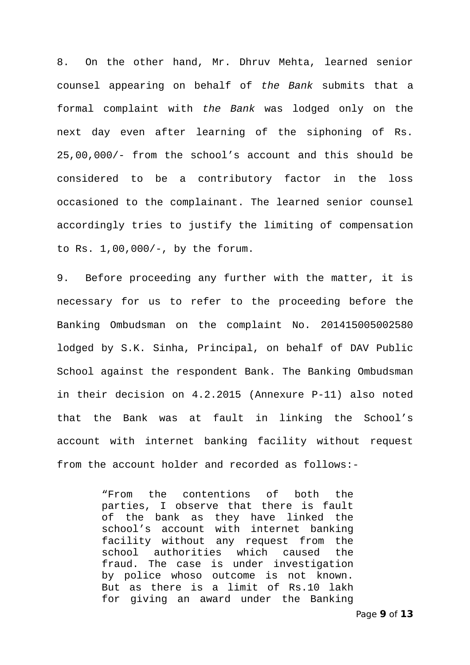8. On the other hand, Mr. Dhruv Mehta, learned senior counsel appearing on behalf of *the Bank* submits that a formal complaint with *the Bank* was lodged only on the next day even after learning of the siphoning of Rs. 25,00,000/- from the school's account and this should be considered to be a contributory factor in the loss occasioned to the complainant. The learned senior counsel accordingly tries to justify the limiting of compensation to Rs. 1,00,000/-, by the forum.

9. Before proceeding any further with the matter, it is necessary for us to refer to the proceeding before the Banking Ombudsman on the complaint No. 201415005002580 lodged by S.K. Sinha, Principal, on behalf of DAV Public School against the respondent Bank. The Banking Ombudsman in their decision on 4.2.2015 (Annexure P-11) also noted that the Bank was at fault in linking the School's account with internet banking facility without request from the account holder and recorded as follows:-

> "From the contentions of both the parties, I observe that there is fault of the bank as they have linked the school's account with internet banking facility without any request from the school authorities which caused the fraud. The case is under investigation by police whoso outcome is not known. But as there is a limit of Rs.10 lakh for giving an award under the Banking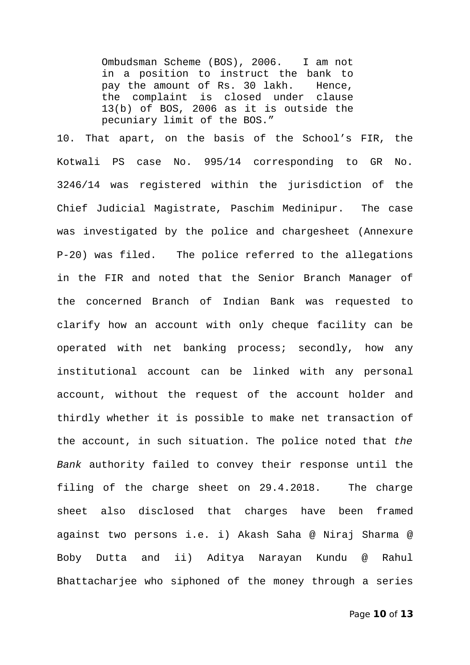Ombudsman Scheme (BOS), 2006. I am not in a position to instruct the bank to pay the amount of Rs. 30 lakh. Hence, the complaint is closed under clause 13(b) of BOS, 2006 as it is outside the pecuniary limit of the BOS."

10. That apart, on the basis of the School's FIR, the Kotwali PS case No. 995/14 corresponding to GR No. 3246/14 was registered within the jurisdiction of the Chief Judicial Magistrate, Paschim Medinipur. The case was investigated by the police and chargesheet (Annexure P-20) was filed. The police referred to the allegations in the FIR and noted that the Senior Branch Manager of the concerned Branch of Indian Bank was requested to clarify how an account with only cheque facility can be operated with net banking process; secondly, how any institutional account can be linked with any personal account, without the request of the account holder and thirdly whether it is possible to make net transaction of the account, in such situation. The police noted that *the Bank* authority failed to convey their response until the filing of the charge sheet on 29.4.2018. The charge sheet also disclosed that charges have been framed against two persons i.e. i) Akash Saha @ Niraj Sharma @ Boby Dutta and ii) Aditya Narayan Kundu @ Rahul Bhattacharjee who siphoned of the money through a series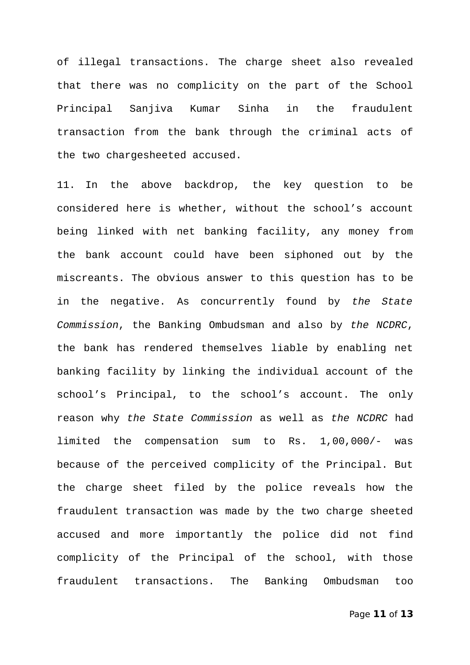of illegal transactions. The charge sheet also revealed that there was no complicity on the part of the School Principal Sanjiva Kumar Sinha in the fraudulent transaction from the bank through the criminal acts of the two chargesheeted accused.

11. In the above backdrop, the key question to be considered here is whether, without the school's account being linked with net banking facility, any money from the bank account could have been siphoned out by the miscreants. The obvious answer to this question has to be in the negative. As concurrently found by *the State Commission*, the Banking Ombudsman and also by *the NCDRC*, the bank has rendered themselves liable by enabling net banking facility by linking the individual account of the school's Principal, to the school's account. The only reason why *the State Commission* as well as *the NCDRC* had limited the compensation sum to Rs. 1,00,000/- was because of the perceived complicity of the Principal. But the charge sheet filed by the police reveals how the fraudulent transaction was made by the two charge sheeted accused and more importantly the police did not find complicity of the Principal of the school, with those fraudulent transactions. The Banking Ombudsman too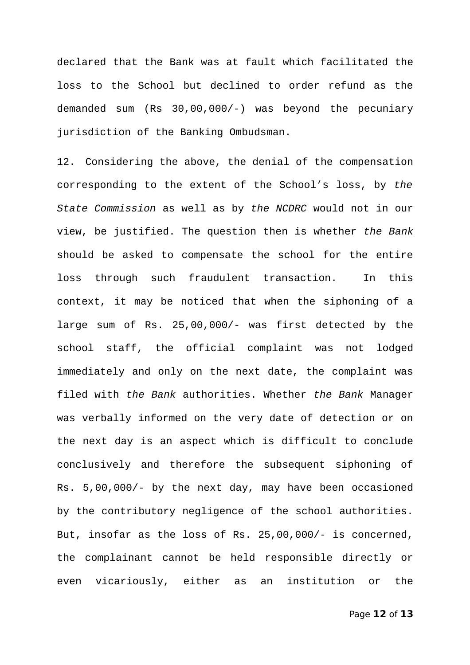declared that the Bank was at fault which facilitated the loss to the School but declined to order refund as the demanded sum (Rs 30,00,000/-) was beyond the pecuniary jurisdiction of the Banking Ombudsman.

12. Considering the above, the denial of the compensation corresponding to the extent of the School's loss, by *the State Commission* as well as by *the NCDRC* would not in our view, be justified. The question then is whether *the Bank* should be asked to compensate the school for the entire loss through such fraudulent transaction. In this context, it may be noticed that when the siphoning of a large sum of Rs. 25,00,000/- was first detected by the school staff, the official complaint was not lodged immediately and only on the next date, the complaint was filed with *the Bank* authorities. Whether *the Bank* Manager was verbally informed on the very date of detection or on the next day is an aspect which is difficult to conclude conclusively and therefore the subsequent siphoning of Rs. 5,00,000/- by the next day, may have been occasioned by the contributory negligence of the school authorities. But, insofar as the loss of Rs. 25,00,000/- is concerned, the complainant cannot be held responsible directly or even vicariously, either as an institution or the